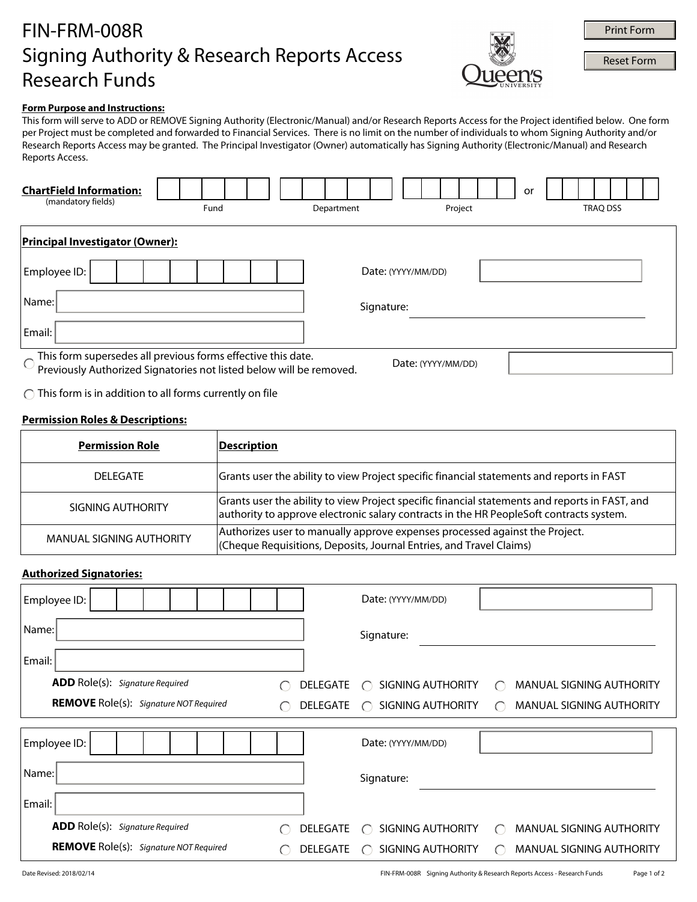# FIN-FRM-008R Signing Authority & Research Reports Access Research Funds



**Print Form**<br>Reset Form

## **Form Purpose and Instructions:**

This form will serve to ADD or REMOVE Signing Authority (Electronic/Manual) and/or Research Reports Access for the Project identified below. One form per Project must be completed and forwarded to Financial Services. There is no limit on the number of individuals to whom Signing Authority and/or Research Reports Access may be granted. The Principal Investigator (Owner) automatically has Signing Authority (Electronic/Manual) and Research Reports Access.

| <b>ChartField Information:</b><br>(mandatory fields)                                                                                                                    | Fund | Department | Project            | or<br><b>TRAQ DSS</b> |  |  |
|-------------------------------------------------------------------------------------------------------------------------------------------------------------------------|------|------------|--------------------|-----------------------|--|--|
| <b>Principal Investigator (Owner):</b>                                                                                                                                  |      |            |                    |                       |  |  |
| Employee ID:                                                                                                                                                            |      |            | Date: (YYYY/MM/DD) |                       |  |  |
| Name:                                                                                                                                                                   |      |            | Signature:         |                       |  |  |
| Email:                                                                                                                                                                  |      |            |                    |                       |  |  |
| This form supersedes all previous forms effective this date.<br>Previously Authorized Signatories not listed below will be removed.<br>$\bigcirc$<br>Date: (YYYY/MM/DD) |      |            |                    |                       |  |  |

 $\bigcap$  This form is in addition to all forms currently on file

### **Permission Roles & Descriptions:**

| <b>Permission Role</b>   | Description                                                                                                                                                                               |
|--------------------------|-------------------------------------------------------------------------------------------------------------------------------------------------------------------------------------------|
| DEI FGATE                | Grants user the ability to view Project specific financial statements and reports in FAST                                                                                                 |
| SIGNING AUTHORITY        | Grants user the ability to view Project specific financial statements and reports in FAST, and<br>authority to approve electronic salary contracts in the HR PeopleSoft contracts system. |
| MANUAL SIGNING AUTHORITY | Authorizes user to manually approve expenses processed against the Project.<br>(Cheque Requisitions, Deposits, Journal Entries, and Travel Claims)                                        |

#### **Authorized Signatories:**

| Employee ID:                                                                                   |  | Date: (YYYY/MM/DD)                                                                                                   |
|------------------------------------------------------------------------------------------------|--|----------------------------------------------------------------------------------------------------------------------|
| Name:                                                                                          |  | Signature:                                                                                                           |
| Email:                                                                                         |  |                                                                                                                      |
| <b>ADD</b> Role(s): Signature Required                                                         |  | SIGNING AUTHORITY<br>MANUAL SIGNING AUTHORITY<br><b>DELEGATE</b><br>$\bigcap$<br>$\bigcap$                           |
| <b>REMOVE</b> Role(s): Signature NOT Required<br>$\left( \begin{array}{c} \end{array} \right)$ |  | SIGNING AUTHORITY<br><b>MANUAL SIGNING AUTHORITY</b><br>DELEGATE<br>$\bigcap$<br>$\bigcap$                           |
|                                                                                                |  |                                                                                                                      |
| Employee ID:                                                                                   |  | Date: (YYYY/MM/DD)                                                                                                   |
| Name:                                                                                          |  | Signature:                                                                                                           |
| Email:                                                                                         |  |                                                                                                                      |
| <b>ADD</b> Role(s): Signature Required                                                         |  | SIGNING AUTHORITY<br>MANUAL SIGNING AUTHORITY<br><b>DELEGATE</b><br>$\cap$<br>$\bigcap$                              |
| <b>REMOVE</b> Role(s): Signature NOT Required                                                  |  | MANUAL SIGNING AUTHORITY<br>SIGNING AUTHORITY<br>DELEGATE<br>$\left( \begin{array}{c} \end{array} \right)$<br>$(\ )$ |